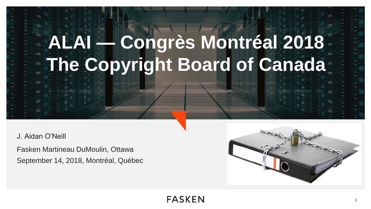# **ALAI — Congrès Montréal 2018 The Copyright Board of Canada**

J. Aidan O'Neill

Fasken Martineau DuMoulin, Ottawa September 14, 2018, Montréal, Québec

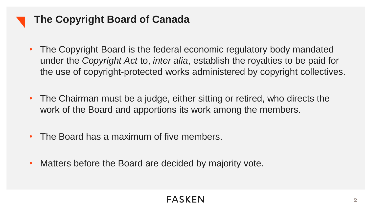

# **The Copyright Board of Canada**

- The Copyright Board is the federal economic regulatory body mandated under the *Copyright Act* to, *inter alia*, establish the royalties to be paid for the use of copyright-protected works administered by copyright collectives.
- The Chairman must be a judge, either sitting or retired, who directs the work of the Board and apportions its work among the members.
- The Board has a maximum of five members.
- Matters before the Board are decided by majority vote.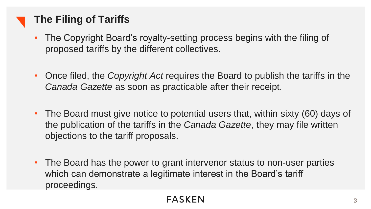# **The Filing of Tariffs**

- The Copyright Board's royalty-setting process begins with the filing of proposed tariffs by the different collectives.
- Once filed, the *Copyright Act* requires the Board to publish the tariffs in the *Canada Gazette* as soon as practicable after their receipt.
- The Board must give notice to potential users that, within sixty (60) days of the publication of the tariffs in the *Canada Gazette*, they may file written objections to the tariff proposals.
- The Board has the power to grant intervenor status to non-user parties which can demonstrate a legitimate interest in the Board's tariff proceedings.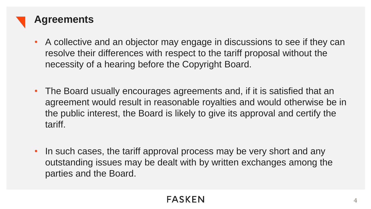

- A collective and an objector may engage in discussions to see if they can resolve their differences with respect to the tariff proposal without the necessity of a hearing before the Copyright Board.
- The Board usually encourages agreements and, if it is satisfied that an agreement would result in reasonable royalties and would otherwise be in the public interest, the Board is likely to give its approval and certify the tariff.
- In such cases, the tariff approval process may be very short and any outstanding issues may be dealt with by written exchanges among the parties and the Board.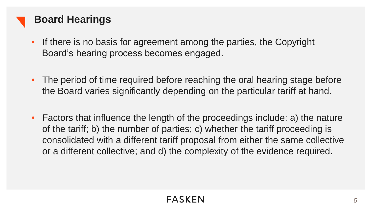

## **Board Hearings**

- If there is no basis for agreement among the parties, the Copyright Board's hearing process becomes engaged.
- The period of time required before reaching the oral hearing stage before the Board varies significantly depending on the particular tariff at hand.
- Factors that influence the length of the proceedings include: a) the nature of the tariff; b) the number of parties; c) whether the tariff proceeding is consolidated with a different tariff proposal from either the same collective or a different collective; and d) the complexity of the evidence required.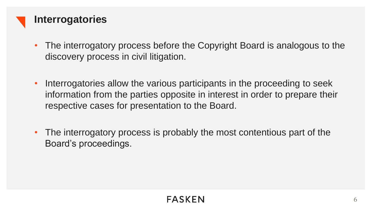

- The interrogatory process before the Copyright Board is analogous to the discovery process in civil litigation.
- Interrogatories allow the various participants in the proceeding to seek information from the parties opposite in interest in order to prepare their respective cases for presentation to the Board.
- The interrogatory process is probably the most contentious part of the Board's proceedings.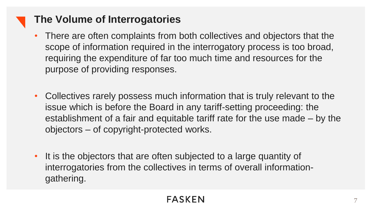## **The Volume of Interrogatories**

- There are often complaints from both collectives and objectors that the scope of information required in the interrogatory process is too broad, requiring the expenditure of far too much time and resources for the purpose of providing responses.
- Collectives rarely possess much information that is truly relevant to the issue which is before the Board in any tariff-setting proceeding: the establishment of a fair and equitable tariff rate for the use made – by the objectors – of copyright-protected works.
- It is the objectors that are often subjected to a large quantity of interrogatories from the collectives in terms of overall informationgathering.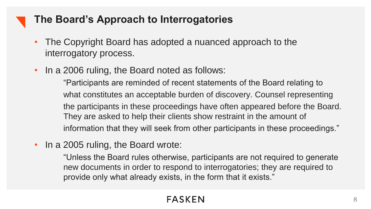## **The Board's Approach to Interrogatories**

- The Copyright Board has adopted a nuanced approach to the interrogatory process.
- In a 2006 ruling, the Board noted as follows:

"Participants are reminded of recent statements of the Board relating to what constitutes an acceptable burden of discovery. Counsel representing the participants in these proceedings have often appeared before the Board. They are asked to help their clients show restraint in the amount of information that they will seek from other participants in these proceedings."

• In a 2005 ruling, the Board wrote:

"Unless the Board rules otherwise, participants are not required to generate new documents in order to respond to interrogatories; they are required to provide only what already exists, in the form that it exists."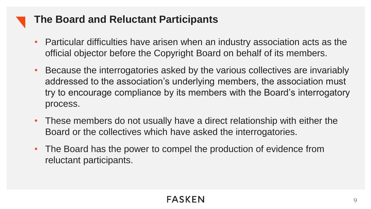#### **The Board and Reluctant Participants**

- Particular difficulties have arisen when an industry association acts as the official objector before the Copyright Board on behalf of its members.
- Because the interrogatories asked by the various collectives are invariably addressed to the association's underlying members, the association must try to encourage compliance by its members with the Board's interrogatory process.
- These members do not usually have a direct relationship with either the Board or the collectives which have asked the interrogatories.
- The Board has the power to compel the production of evidence from reluctant participants.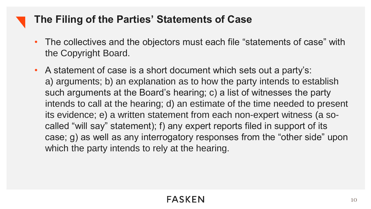## **The Filing of the Parties' Statements of Case**

- The collectives and the objectors must each file "statements of case" with the Copyright Board.
- A statement of case is a short document which sets out a party's: a) arguments; b) an explanation as to how the party intends to establish such arguments at the Board's hearing; c) a list of witnesses the party intends to call at the hearing; d) an estimate of the time needed to present its evidence; e) a written statement from each non-expert witness (a socalled "will say" statement); f) any expert reports filed in support of its case; g) as well as any interrogatory responses from the "other side" upon which the party intends to rely at the hearing.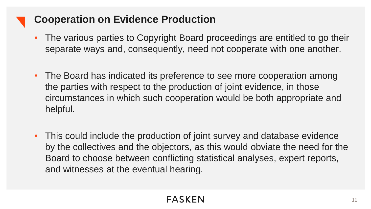## **Cooperation on Evidence Production**

- The various parties to Copyright Board proceedings are entitled to go their separate ways and, consequently, need not cooperate with one another.
- The Board has indicated its preference to see more cooperation among the parties with respect to the production of joint evidence, in those circumstances in which such cooperation would be both appropriate and helpful.
- This could include the production of joint survey and database evidence by the collectives and the objectors, as this would obviate the need for the Board to choose between conflicting statistical analyses, expert reports, and witnesses at the eventual hearing.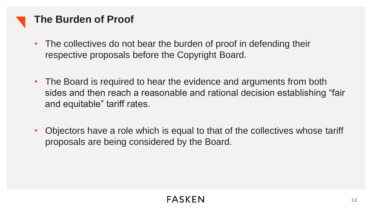

#### **The Burden of Proof**

- The collectives do not bear the burden of proof in defending their respective proposals before the Copyright Board.
- The Board is required to hear the evidence and arguments from both sides and then reach a reasonable and rational decision establishing "fair and equitable" tariff rates.
- Objectors have a role which is equal to that of the collectives whose tariff proposals are being considered by the Board.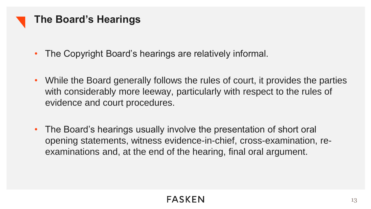

- The Copyright Board's hearings are relatively informal.
- While the Board generally follows the rules of court, it provides the parties with considerably more leeway, particularly with respect to the rules of evidence and court procedures.
- The Board's hearings usually involve the presentation of short oral opening statements, witness evidence-in-chief, cross-examination, reexaminations and, at the end of the hearing, final oral argument.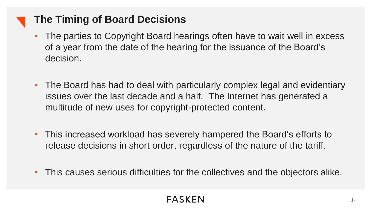## **The Timing of Board Decisions**

- The parties to Copyright Board hearings often have to wait well in excess of a year from the date of the hearing for the issuance of the Board's decision.
- The Board has had to deal with particularly complex legal and evidentiary issues over the last decade and a half. The Internet has generated a multitude of new uses for copyright-protected content.
- This increased workload has severely hampered the Board's efforts to release decisions in short order, regardless of the nature of the tariff.
- This causes serious difficulties for the collectives and the objectors alike.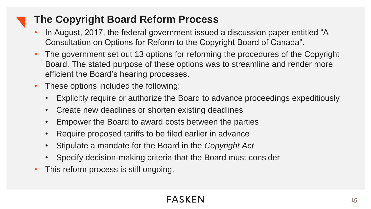# **The Copyright Board Reform Process**

- In August, 2017, the federal government issued a discussion paper entitled "A Consultation on Options for Reform to the Copyright Board of Canada".
- The government set out 13 options for reforming the procedures of the Copyright Board. The stated purpose of these options was to streamline and render more efficient the Board's hearing processes.
- These options included the following:
	- Explicitly require or authorize the Board to advance proceedings expeditiously
	- Create new deadlines or shorten existing deadlines
	- Empower the Board to award costs between the parties
	- Require proposed tariffs to be filed earlier in advance
	- Stipulate a mandate for the Board in the *Copyright Act*
	- Specify decision-making criteria that the Board must consider
- This reform process is still ongoing.